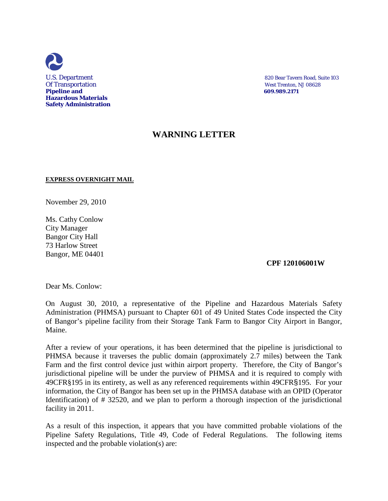

U.S. Department 820 Bear Tavern Road, Suite 103

# **WARNING LETTER**

### **EXPRESS OVERNIGHT MAIL**

November 29, 2010

Ms. Cathy Conlow City Manager Bangor City Hall 73 Harlow Street Bangor, ME 04401

 **CPF 120106001W**

Dear Ms. Conlow:

On August 30, 2010, a representative of the Pipeline and Hazardous Materials Safety Administration (PHMSA) pursuant to Chapter 601 of 49 United States Code inspected the City of Bangor's pipeline facility from their Storage Tank Farm to Bangor City Airport in Bangor, Maine.

After a review of your operations, it has been determined that the pipeline is jurisdictional to PHMSA because it traverses the public domain (approximately 2.7 miles) between the Tank Farm and the first control device just within airport property. Therefore, the City of Bangor's jurisdictional pipeline will be under the purview of PHMSA and it is required to comply with 49CFR§195 in its entirety, as well as any referenced requirements within 49CFR§195. For your information, the City of Bangor has been set up in the PHMSA database with an OPID (Operator Identification) of # 32520, and we plan to perform a thorough inspection of the jurisdictional facility in 2011.

As a result of this inspection, it appears that you have committed probable violations of the Pipeline Safety Regulations, Title 49, Code of Federal Regulations. The following items inspected and the probable violation(s) are: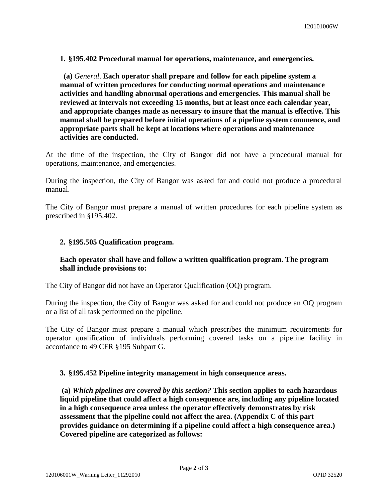**1. §195.402 Procedural manual for operations, maintenance, and emergencies.**

 **(a)** *General*. **Each operator shall prepare and follow for each pipeline system a manual of written procedures for conducting normal operations and maintenance activities and handling abnormal operations and emergencies. This manual shall be reviewed at intervals not exceeding 15 months, but at least once each calendar year, and appropriate changes made as necessary to insure that the manual is effective. This manual shall be prepared before initial operations of a pipeline system commence, and appropriate parts shall be kept at locations where operations and maintenance activities are conducted.**

At the time of the inspection, the City of Bangor did not have a procedural manual for operations, maintenance, and emergencies.

During the inspection, the City of Bangor was asked for and could not produce a procedural manual.

The City of Bangor must prepare a manual of written procedures for each pipeline system as prescribed in §195.402.

## **2. §195.505 Qualification program.**

## **Each operator shall have and follow a written qualification program. The program shall include provisions to:**

The City of Bangor did not have an Operator Qualification (OQ) program.

During the inspection, the City of Bangor was asked for and could not produce an OQ program or a list of all task performed on the pipeline.

The City of Bangor must prepare a manual which prescribes the minimum requirements for operator qualification of individuals performing covered tasks on a pipeline facility in accordance to 49 CFR §195 Subpart G.

### **3. §195.452 Pipeline integrity management in high consequence areas.**

**(a)** *Which pipelines are covered by this section?* **This section applies to each hazardous liquid pipeline that could affect a high consequence are, including any pipeline located in a high consequence area unless the operator effectively demonstrates by risk assessment that the pipeline could not affect the area. (Appendix C of this part provides guidance on determining if a pipeline could affect a high consequence area.) Covered pipeline are categorized as follows:**